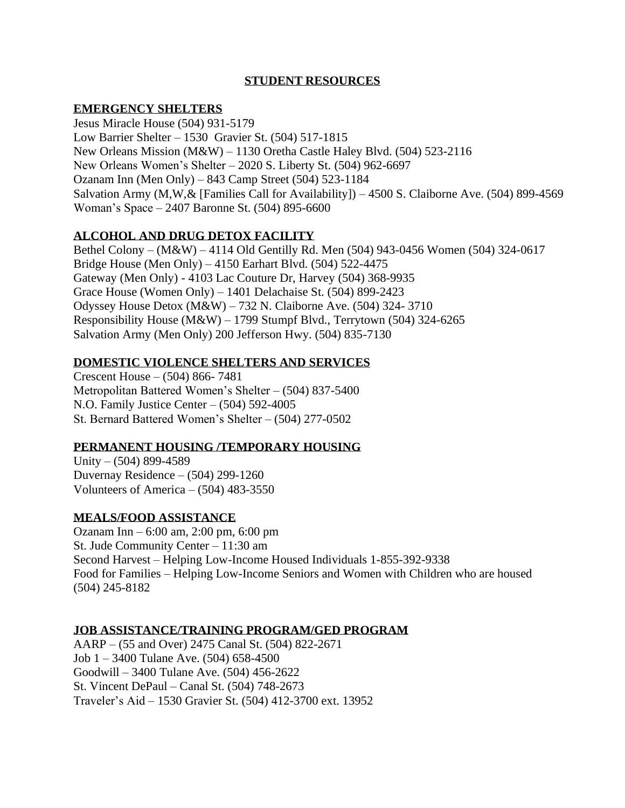# **STUDENT RESOURCES**

## **EMERGENCY SHELTERS**

Jesus Miracle House (504) 931-5179 Low Barrier Shelter – 1530 Gravier St. (504) 517-1815 New Orleans Mission (M&W) – 1130 Oretha Castle Haley Blvd. (504) 523-2116 New Orleans Women's Shelter – 2020 S. Liberty St. (504) 962-6697 Ozanam Inn (Men Only) – 843 Camp Street (504) 523-1184 Salvation Army (M,W,& [Families Call for Availability]) – 4500 S. Claiborne Ave. (504) 899-4569 Woman's Space – 2407 Baronne St. (504) 895-6600

## **ALCOHOL AND DRUG DETOX FACILITY**

Bethel Colony – (M&W) – 4114 Old Gentilly Rd. Men (504) 943-0456 Women (504) 324-0617 Bridge House (Men Only) – 4150 Earhart Blvd. (504) 522-4475 Gateway (Men Only) - 4103 Lac Couture Dr, Harvey (504) 368-9935 Grace House (Women Only) – 1401 Delachaise St. (504) 899-2423 Odyssey House Detox (M&W) – 732 N. Claiborne Ave. (504) 324- 3710 Responsibility House (M&W) – 1799 Stumpf Blvd., Terrytown (504) 324-6265 Salvation Army (Men Only) 200 Jefferson Hwy. (504) 835-7130

## **DOMESTIC VIOLENCE SHELTERS AND SERVICES**

Crescent House – (504) 866- 7481 Metropolitan Battered Women's Shelter – (504) 837-5400 N.O. Family Justice Center – (504) 592-4005 St. Bernard Battered Women's Shelter – (504) 277-0502

### **PERMANENT HOUSING /TEMPORARY HOUSING**

Unity –  $(504)$  899-4589 Duvernay Residence – (504) 299-1260 Volunteers of America – (504) 483-3550

### **MEALS/FOOD ASSISTANCE**

Ozanam Inn – 6:00 am, 2:00 pm, 6:00 pm St. Jude Community Center – 11:30 am Second Harvest – Helping Low-Income Housed Individuals 1-855-392-9338 Food for Families – Helping Low-Income Seniors and Women with Children who are housed (504) 245-8182

### **JOB ASSISTANCE/TRAINING PROGRAM/GED PROGRAM**

AARP – (55 and Over) 2475 Canal St. (504) 822-2671 Job 1 – 3400 Tulane Ave. (504) 658-4500 Goodwill – 3400 Tulane Ave. (504) 456-2622 St. Vincent DePaul – Canal St. (504) 748-2673 Traveler's Aid – 1530 Gravier St. (504) 412-3700 ext. 13952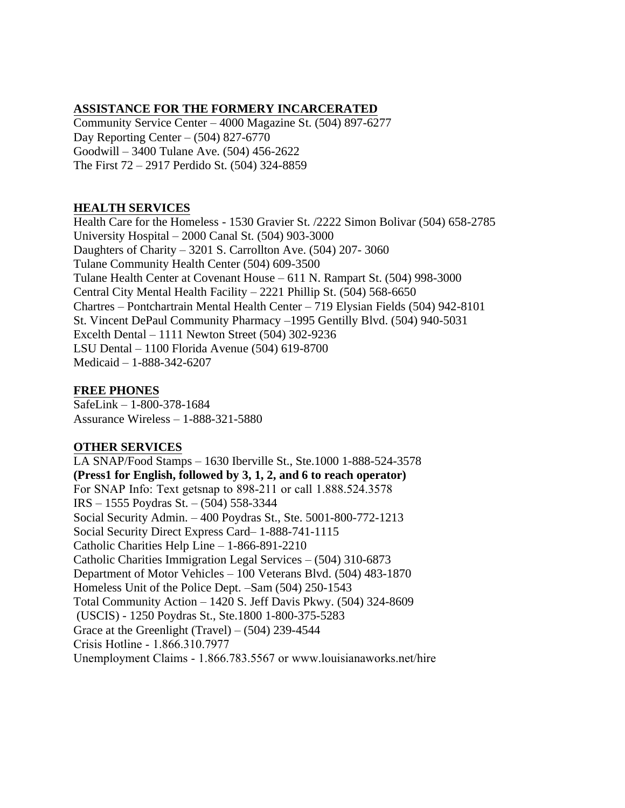# **ASSISTANCE FOR THE FORMERY INCARCERATED**

Community Service Center – 4000 Magazine St. (504) 897-6277 Day Reporting Center – (504) 827-6770 Goodwill – 3400 Tulane Ave. (504) 456-2622 The First 72 – 2917 Perdido St. (504) 324-8859

## **HEALTH SERVICES**

Health Care for the Homeless - 1530 Gravier St. /2222 Simon Bolivar (504) 658-2785 University Hospital – 2000 Canal St. (504) 903-3000 Daughters of Charity – 3201 S. Carrollton Ave. (504) 207- 3060 Tulane Community Health Center (504) 609-3500 Tulane Health Center at Covenant House – 611 N. Rampart St. (504) 998-3000 Central City Mental Health Facility – 2221 Phillip St. (504) 568-6650 Chartres – Pontchartrain Mental Health Center – 719 Elysian Fields (504) 942-8101 St. Vincent DePaul Community Pharmacy –1995 Gentilly Blvd. (504) 940-5031 Excelth Dental – 1111 Newton Street (504) 302-9236 LSU Dental – 1100 Florida Avenue (504) 619-8700 Medicaid – 1-888-342-6207

## **FREE PHONES**

SafeLink – 1-800-378-1684 Assurance Wireless – 1-888-321-5880

## **OTHER SERVICES**

LA SNAP/Food Stamps – 1630 Iberville St., Ste.1000 1-888-524-3578 **(Press1 for English, followed by 3, 1, 2, and 6 to reach operator)**  For SNAP Info: Text getsnap to 898-211 or call 1.888.524.3578 IRS – 1555 Poydras St. – (504) 558-3344 Social Security Admin. – 400 Poydras St., Ste. 5001-800-772-1213 Social Security Direct Express Card– 1-888-741-1115 Catholic Charities Help Line – 1-866-891-2210 Catholic Charities Immigration Legal Services – (504) 310-6873 Department of Motor Vehicles – 100 Veterans Blvd. (504) 483-1870 Homeless Unit of the Police Dept. –Sam (504) 250-1543 Total Community Action – 1420 S. Jeff Davis Pkwy. (504) 324-8609 (USCIS) - 1250 Poydras St., Ste.1800 1-800-375-5283 Grace at the Greenlight (Travel) –  $(504)$  239-4544 Crisis Hotline - 1.866.310.7977 Unemployment Claims - 1.866.783.5567 or www.louisianaworks.net/hire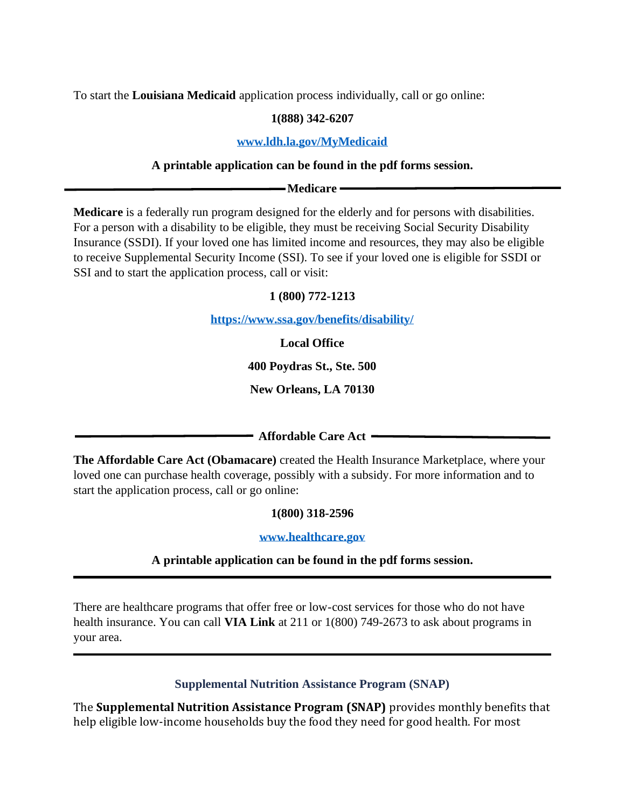To start the **Louisiana Medicaid** application process individually, call or go online:

# **1(888) 342-6207**

### **[www.ldh.la.gov/MyMedicaid](http://www.ldh.la.gov/MyMedicaid)**

## **A printable application can be found in the pdf forms session.**

**Medicare**

**Medicare** is a federally run program designed for the elderly and for persons with disabilities. For a person with a disability to be eligible, they must be receiving Social Security Disability Insurance (SSDI). If your loved one has limited income and resources, they may also be eligible to receive Supplemental Security Income (SSI). To see if your loved one is eligible for SSDI or SSI and to start the application process, call or visit:

## **1 (800) 772-1213**

**<https://www.ssa.gov/benefits/disability/>**

**Local Office**

**400 Poydras St., Ste. 500**

**New Orleans, LA 70130**

**Affordable Care Act**

**The Affordable Care Act (Obamacare)** created the Health Insurance Marketplace, where your loved one can purchase health coverage, possibly with a subsidy. For more information and to start the application process, call or go online:

**1(800) 318-2596**

**[www.healthcare.gov](http://www.healthcare.gov/)**

## **A printable application can be found in the pdf forms session.**

There are healthcare programs that offer free or low-cost services for those who do not have health insurance. You can call **VIA Link** at 211 or 1(800) 749-2673 to ask about programs in your area.

**Supplemental Nutrition Assistance Program (SNAP)**

The **Supplemental Nutrition Assistance Program (SNAP)** provides monthly benefits that help eligible low-income households buy the food they need for good health. For most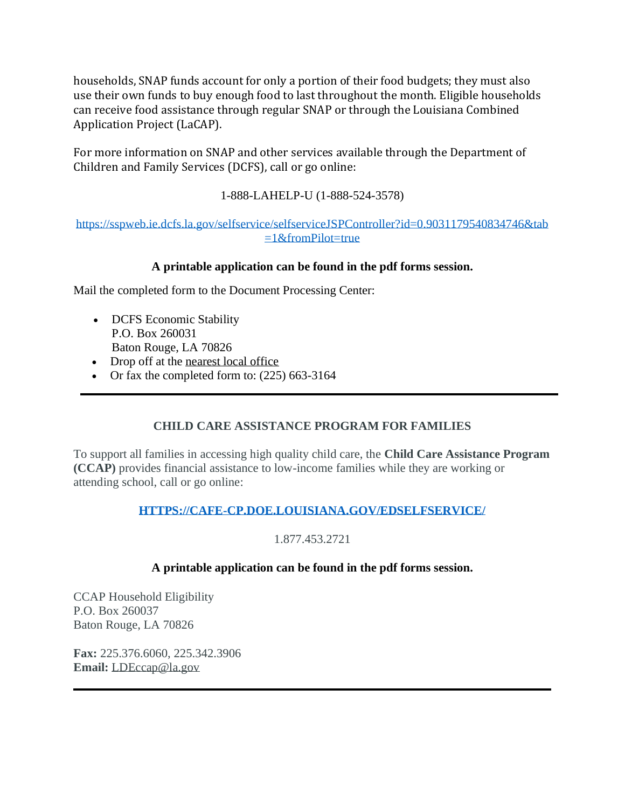households, SNAP funds account for only a portion of their food budgets; they must also use their own funds to buy enough food to last throughout the month. Eligible households can receive food assistance through regular SNAP or through the Louisiana Combined Application Project (LaCAP).

For more information on SNAP and other services available through the Department of Children and Family Services (DCFS), call or go online:

# 1-888-LAHELP-U (1-888-524-3578)

## [https://sspweb.ie.dcfs.la.gov/selfservice/selfserviceJSPController?id=0.9031179540834746&tab](https://sspweb.ie.dcfs.la.gov/selfservice/selfserviceJSPController?id=0.9031179540834746&tab=1&fromPilot=true)  $=1$ &fromPilot=true

# **A printable application can be found in the pdf forms session.**

Mail the completed form to the Document Processing Center:

- DCFS Economic Stability P.O. Box 260031 Baton Rouge, LA 70826
- Drop off at the [nearest local office](http://www.dcfs.louisiana.gov/directory)
- Or fax the completed form to: (225) 663-3164

# **CHILD CARE ASSISTANCE PROGRAM FOR FAMILIES**

To support all families in accessing high quality child care, the **Child Care Assistance Program (CCAP)** provides financial assistance to low-income families while they are working or attending school, call or go online:

# **[HTTPS://CAFE-CP.DOE.LOUISIANA.GOV/EDSELFSERVICE/](https://cafe-cp.doe.louisiana.gov/edselfservice/)**

# 1.877.453.2721

# **A printable application can be found in the pdf forms session.**

CCAP Household Eligibility P.O. Box 260037 Baton Rouge, LA 70826

**Fax:** 225.376.6060, 225.342.3906 **Email:** [LDEccap@la.gov](mailto:LDEccap@la.gov)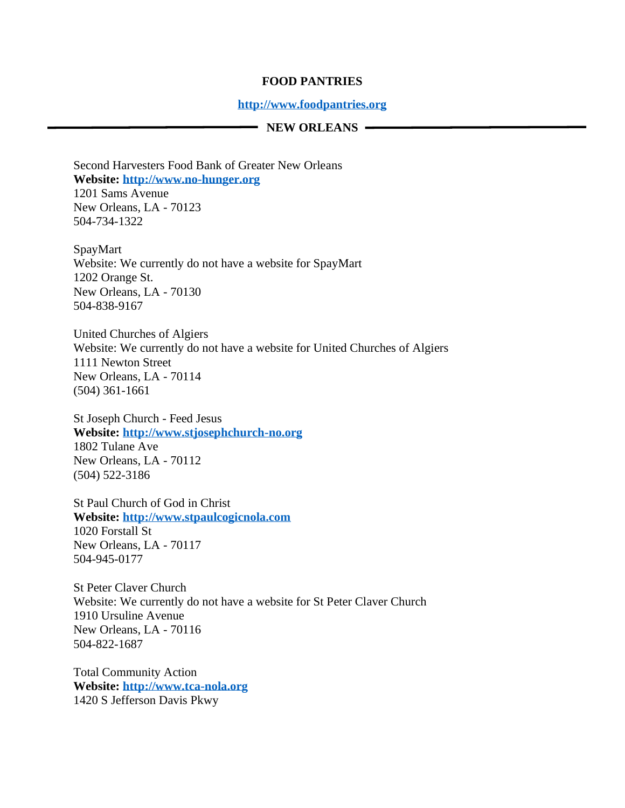### **FOOD PANTRIES**

### **[http://www.foodpantries.org](http://www.foodpantries.org/)**

#### - NEW ORLEANS -

Second Harvesters Food Bank of Greater New Orleans **Website: [http://www.no-hunger.org](http://www.no-hunger.org/)** 1201 Sams Avenue

New Orleans, LA - 70123 504-734-1322

SpayMart Website: We currently do not have a website for SpayMart 1202 Orange St. New Orleans, LA - 70130 504-838-9167

United Churches of Algiers Website: We currently do not have a website for United Churches of Algiers 1111 Newton Street New Orleans, LA - 70114 (504) 361-1661

St Joseph Church - Feed Jesus **Website: [http://www.stjosephchurch-no.org](http://www.stjosephchurch-no.org/)** 1802 Tulane Ave New Orleans, LA - 70112 (504) 522-3186

St Paul Church of God in Christ **Website: [http://www.stpaulcogicnola.com](http://www.stpaulcogicnola.com/)** 1020 Forstall St New Orleans, LA - 70117 504-945-0177

St Peter Claver Church Website: We currently do not have a website for St Peter Claver Church 1910 Ursuline Avenue New Orleans, LA - 70116 504-822-1687

Total Community Action **Website: [http://www.tca-nola.org](http://www.tca-nola.org/)** 1420 S Jefferson Davis Pkwy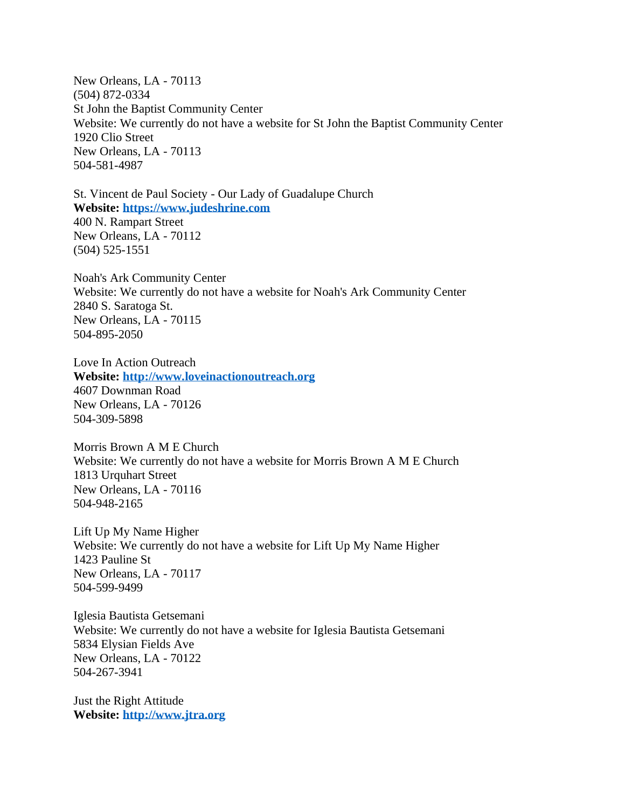New Orleans, LA - 70113 (504) 872-0334 St John the Baptist Community Center Website: We currently do not have a website for St John the Baptist Community Center 1920 Clio Street New Orleans, LA - 70113 504-581-4987

St. Vincent de Paul Society - Our Lady of Guadalupe Church **Website: [https://www.judeshrine.com](https://www.judeshrine.com/)** 400 N. Rampart Street New Orleans, LA - 70112 (504) 525-1551

Noah's Ark Community Center Website: We currently do not have a website for Noah's Ark Community Center 2840 S. Saratoga St. New Orleans, LA - 70115 504-895-2050

Love In Action Outreach **Website: [http://www.loveinactionoutreach.org](http://www.loveinactionoutreach.org/)** 4607 Downman Road New Orleans, LA - 70126 504-309-5898

Morris Brown A M E Church Website: We currently do not have a website for Morris Brown A M E Church 1813 Urquhart Street New Orleans, LA - 70116 504-948-2165

Lift Up My Name Higher Website: We currently do not have a website for Lift Up My Name Higher 1423 Pauline St New Orleans, LA - 70117 504-599-9499

Iglesia Bautista Getsemani Website: We currently do not have a website for Iglesia Bautista Getsemani 5834 Elysian Fields Ave New Orleans, LA - 70122 504-267-3941

Just the Right Attitude **Website: [http://www.jtra.org](http://www.jtra.org/)**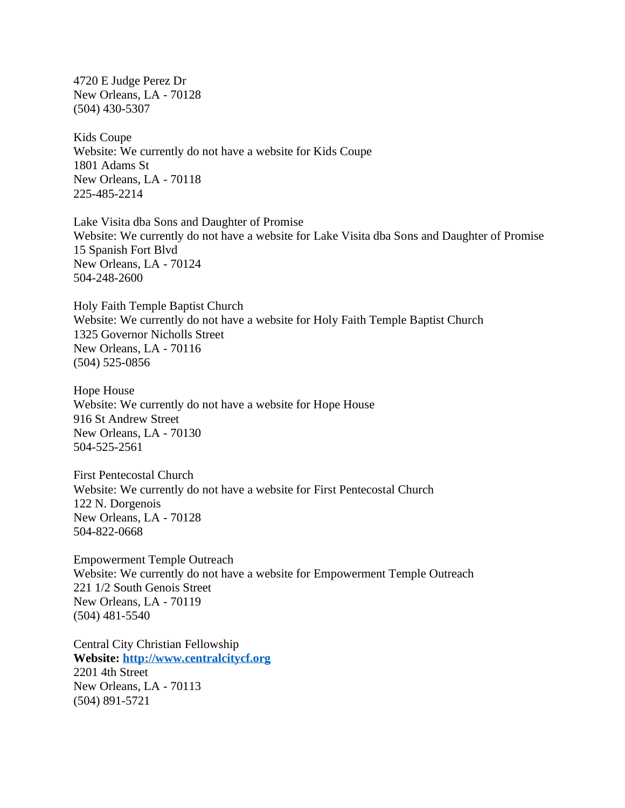4720 E Judge Perez Dr New Orleans, LA - 70128 (504) 430-5307

Kids Coupe Website: We currently do not have a website for Kids Coupe 1801 Adams St New Orleans, LA - 70118 225-485-2214

Lake Visita dba Sons and Daughter of Promise Website: We currently do not have a website for Lake Visita dba Sons and Daughter of Promise 15 Spanish Fort Blvd New Orleans, LA - 70124 504-248-2600

Holy Faith Temple Baptist Church Website: We currently do not have a website for Holy Faith Temple Baptist Church 1325 Governor Nicholls Street New Orleans, LA - 70116 (504) 525-0856

Hope House Website: We currently do not have a website for Hope House 916 St Andrew Street New Orleans, LA - 70130 504-525-2561

First Pentecostal Church Website: We currently do not have a website for First Pentecostal Church 122 N. Dorgenois New Orleans, LA - 70128 504-822-0668

Empowerment Temple Outreach Website: We currently do not have a website for Empowerment Temple Outreach 221 1/2 South Genois Street New Orleans, LA - 70119 (504) 481-5540

Central City Christian Fellowship **Website: [http://www.centralcitycf.org](http://www.centralcitycf.org/)** 2201 4th Street New Orleans, LA - 70113 (504) 891-5721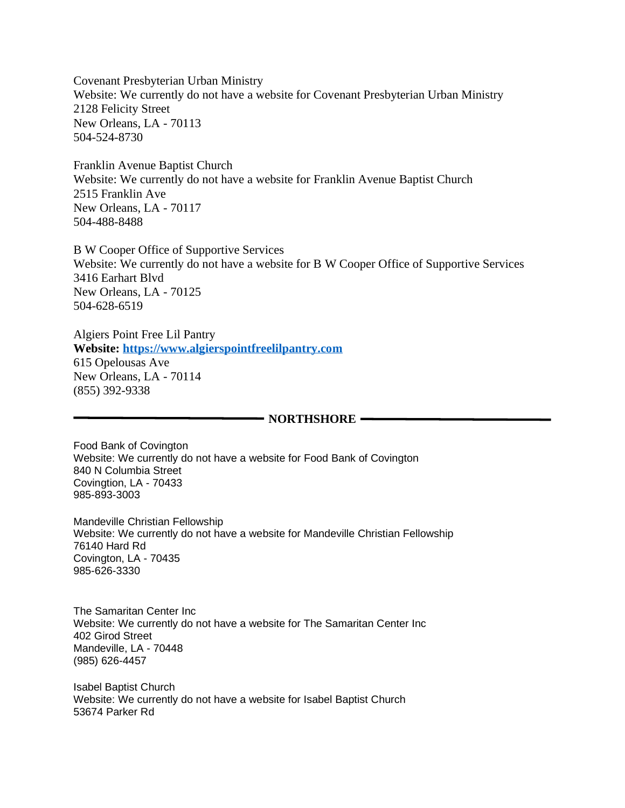Covenant Presbyterian Urban Ministry Website: We currently do not have a website for Covenant Presbyterian Urban Ministry 2128 Felicity Street New Orleans, LA - 70113 504-524-8730

Franklin Avenue Baptist Church Website: We currently do not have a website for Franklin Avenue Baptist Church 2515 Franklin Ave New Orleans, LA - 70117 504-488-8488

B W Cooper Office of Supportive Services Website: We currently do not have a website for B W Cooper Office of Supportive Services 3416 Earhart Blvd New Orleans, LA - 70125 504-628-6519

Algiers Point Free Lil Pantry **Website: [https://www.algierspointfreelilpantry.com](https://www.algierspointfreelilpantry.com/)** 615 Opelousas Ave New Orleans, LA - 70114 (855) 392-9338

#### **NORTHSHORE -**

Food Bank of Covington Website: We currently do not have a website for Food Bank of Covington 840 N Columbia Street Covingtion, LA - 70433 985-893-3003

Mandeville Christian Fellowship Website: We currently do not have a website for Mandeville Christian Fellowship 76140 Hard Rd Covington, LA - 70435 985-626-3330

The Samaritan Center Inc Website: We currently do not have a website for The Samaritan Center Inc 402 Girod Street Mandeville, LA - 70448 (985) 626-4457

Isabel Baptist Church Website: We currently do not have a website for Isabel Baptist Church 53674 Parker Rd